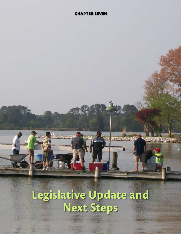## **Chapter seven**

# **Legislative Update and Next Steps**

п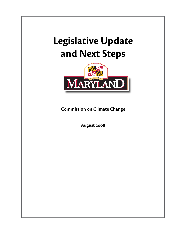# **Legislative Update and Next Steps**



**Commission on Climate Change**

**August 2008**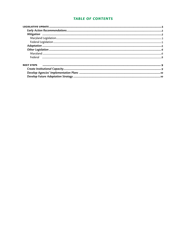# **TABLE OF CONTENTS**

| <b>NEXT STEPS</b> |
|-------------------|
|                   |
|                   |
|                   |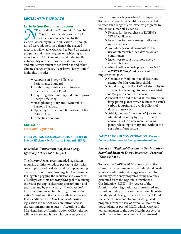## *Legislative Update*

#### **Early Action Recommendations**

**Nearly all of the Commission's** *Interim*<br> **Report** recommendations for 2008<br> **General Assembly in its 2008 Session.** Although *Report* recommendations for 2008 legislation were acted on by the not all were adopted, on balance, the enacted measures will enable Maryland to build on existing programs and make progress on achieving early reductions in GHG emissions and reducing the vulnerability of its citizens, natural resources and built environment to sea level rise and other climate change impacts. Legislative "Early Action" highlights include:

- $\blacktriangleright$  Adopting an Energy Efficiency Performance Standard
- h Establishing a Publicly Administered Energy Investment Fund
- ▶ Requiring State Building Codes to Improve Energy Efficiency
- ▶ Strengthening Maryland's Renewable Portfolio Standard
- h Updating Jurisdictional Boundaries of Bays Critical Areas
- $\blacktriangleright$  Protecting Shorelines

#### **Mitigation**

*Maryland Legislation*

**EARLY ACTION RECOMMENDATION: Adopt an Energy Efficiency Performance Standard (EEPS).** 

## *Enacted as "EmPOWER Maryland Energy Efficiency Act of 2008" (HB374).*

The *Interim Report* recommended legislation requiring utilities to reduce per capita electricity consumption and peak demand by implementing energy efficiency programs targeted to consumers. It suggested pegging the reductions to Governor O'Malley's *EmPOWER Maryland* goal of reducing the State's per capita electricity consumption and peak demand by 15% by 2015. The Governor's initiative, announced in July 2007, is one of the nation's most ambitious energy efficiency targets. It was codified in the *EmPOWER Maryland* legislation in the 2008 Session, introduced at the Administration's request. According to the Maryland Energy Administration (MEA), the law will save Maryland households on average \$16 a

month or \$190 each year when fully implemented. To meet the law's targets, utilities are expected to establish a range of cost-effective programs to reduce consumer bills, such as:

- ▶ Rebates for the purchase of ENERGY STAR® appliances
- $\blacktriangleright$  Incentives for home energy audits and improvements
- $\triangleright$  Voluntary seasonal payments for the use of interruptible load devices on air conditioners
- $\blacktriangleright$  Incentives to construct more energy efficient homes.

According to other reports prepared for MEA, when *EmPOWER Maryland* is successfully implemented, it will:

- $\triangleright$  Generate \$5.7 billion in total electricity savings for Maryland households
- h Avoid using 10 billion kWh of electricity in 2015, which is enough to power one-third of Maryland's homes that year
- $\triangleright$  Prevent the need to build at least three new large power plants, which reduces the state's carbon footprint and avoids billions of dollars in new costs
- Add 8,000 new "green collar" jobs to the Maryland economy by 2015. This is the equivalent of 100 new manufacturing plants relocating to Maryland, without the costs for infrastructure.

## **EARLY ACTION RECOMMENDATION: Create a Publicly Administered Energy Investment Fund.**

## *Enacted as "Regional Greenhouse Gas Initiative – Maryland Strategic Energy Investment Program" (SB268/HB368).*

To meet the *EmPOWER Maryland* goals, the Commission recommended that Maryland create a publicly administered energy investment fund for energy efficiency programs, using revenues generated from the Regional Greenhouse Gas Initiative (RGGI). By request of the Administration, legislation was introduced and passed codifying this recommendation. It creates the Maryland Strategic Energy Investment Fund that creates a revenue stream for designated programs from the sale of carbon allowances to power plants as part of RGGI, which Maryland joined pursuant to the 2006 Healthy Air Act. A portion of the fund revenues will be returned to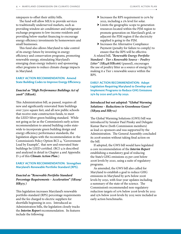ratepayers to offset their utility bills.

The fund will allow MEA to provide services to traditionally underserved markets, such as providing window air conditioner and refrigerator exchange programs to low-income residents and providing below-market financing to encourage energy efficiency investments by homeowners and small businesses.

This fund also allows Maryland to take control of its energy future by investing in energy efficiency and conservation programs, promoting renewable energy, stimulating Maryland's emerging clean energy industry and sponsoring other programs to reduce climate change impacts in Maryland.

## **EARLY ACTION RECOMMENDATION: Amend State Building Codes to Improve Energy Efficiency.**

## *Enacted as "High Performance Buildings Act of 2008" (SB208).*

This Administration bill, as passed, requires all new and significantly renovated State buildings over 7,500 square feet, and all new public schools that receive state construction funds, to meet the LEED Silver green building standard. While not going as far as the Commission's early action recommendation to amend building codes statewide to incorporate green building design and energy efficiency performance standards, the legislation aligns with the recommendation in the Commission's Policy Option RCI-4, "Government Lead by Example", that new and renovated State buildings be LEED certified. (RCI-4 is described and analyzed in detail in Chapter 4 and Appendix D-3 of this *Climate Action Plan*.)

#### **EARLY ACTION RECOMMENDATION: Strengthen Maryland's Renewable Portfolio Standard (RPS).**

## *Enacted as "Renewable Portfolio Standard Percentage Requirements – Acceleration" (SB209/ HB375 )*

This legislation increases Maryland's renewable portfolio standard (RPS) percentage requirements and the fee charged to electric suppliers for shortfalls beginning in 2011. Introduced as Administration bills, the legislation closely tracks the *Interim Report* recommendation. Its features include the following:

- ▶ Increases the RPS requirement to 20% by 2022, including a 2% level for solar.
- $\blacktriangleright$  Limits the geographic scope to generation resources located within the PJM region to promote generation on Maryland's grid, or adjacent the PJM region if the electricity supplied is going to the PJM.
- $\blacktriangleright$  Increases the Alternative Compliance Payment (penalty for failure to comply) to ensure that the RPS will be effective.

A related bill, *"Renewable Energy Portfolio Standard – Tier 1 Renewable Source – Poultry Litter" (SB348/HB1166)* (passed), encourages the use of poultry litter as a source of energy by making it a Tier 1 renewable source within the RPS.

**EARLY ACTION RECOMMENDATION: Adopt Legislation Requiring Maryland to Develop and Implement Programs to Reduce GHG Emissions 25% by 2020 and 50% by 2050.** 

## *Introduced but not adopted: "Global Warming Solutions – Reductions in Greenhouse Gases" (SB309 and HB712)*

The Global Warming Solutions (GWS) bill was introduced by Senator Paul Pinsky and Delegate Kumar Barve (both Commission members) as lead co-sponsors and was supported by the Administration. The General Assembly concluded its 2008 session without taking final action on the bill.

If adopted, the GWS bill would have legislated a core recommendation of the *Interim Report* establishing a mandatory goal of reducing the State's GHG emissions 25 per cent below 2006 levels by 2020, using a suite of regulatory programs.

As amended, the GWS bill also called for Maryland to establish a goal to reduce GHG emissions in Maryland by 90% below 2006 levels by 2050, with four-year updates including a summary of the state of the science. The Commission's recommended non-regulatory reduction targets of 10% below 2006 levels by 2012 and 15% below 2006 levels by 2015 were included as early action benchmarks.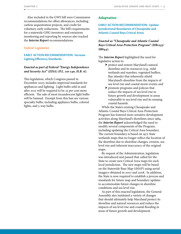Also included in the GWS bill were Commission recommendations for offset allowances, including carbon sequestration projects, and credit for voluntary early reductions. The bill's requirements for a statewide GHG inventory and emissions monitoring and reporting by sources also tracked the *Interim Report* recommendations.

#### *Federal Legislation*

#### **EARLY ACTION RECOMMENDATION: Increase Lighting Efficiency Standards.**

## *Enacted as part of Federal "Energy Independence and Security Act" (EISA) (P.L. 110-140, H.R. 6).*

This legislation, which Congress passed in December 2007, includes improved standards for appliances and lighting. Light bulbs sold in and after 2012 will be required to be 25 per cent more efficient. The sale of most incandescent light bulbs will be banned. Exempt from this ban are various specialty bulbs, including appliance bulbs, colored lights, and 3-way bulbs.

## **Adaptation**

#### **EARLY ACTION RECOMMENDATION: Update Jurisdictional Boundaries of Chesapeake and Atlantic Coastal Bays Critical Areas**

## *Enacted as "Chesapeake and Atlantic Coastal Bays Critical Area Protection Program" (HB1253/ SB844).*

The *Interim Report* highlighted the need for legislative action to:

- h protect and restore Maryland's natural shoreline and its resources (e.g., tidal wetlands and marshes, vegetated buffers, Bay islands) that inherently shield Maryland's shoreline from the impacts of sea level rise and coastal storm events; and
- $\triangleright$  promote programs and policies that reduce the impacts of sea level rise to future growth and development in areas vulnerable to sea level rise and its ensuing coastal hazards.

While the State's existing Chesapeake and Atlantic Coastal Bays Critical Area Protection Program has fostered more sensitive development activities along Maryland's shorelines since 1984, the *Interim Report* acknowledged the need to modify several components of the Program, including updating the Critical Area boundary. The current boundary is based on 1972 State wetlands maps that no longer reflect the location of the shoreline due to shoreline changes, erosion, sea level rise and inherent inaccuracy of the original maps.

By request of the Administration, legislation was introduced and passed that called for the State to create new Critical Area maps for each local jurisdiction. The new maps will be based on the Statewide Base Map (iMAP) using aerial imagery obtained in 2007 and 2008. In addition, the State is now required to establish a process and standards for future map and boundary updates to accommodate future changes in shoreline conditions and sea level rise.

As part of this enacted legislation, the General Assembly also instituted a variety of changes that should ultimately help Maryland protect its shoreline and natural resources and reduce the impacts of sea level rise and coastal flooding in areas of future growth and development.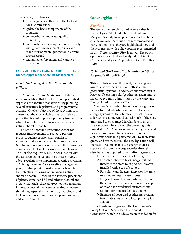In general, the changes:

- $\triangleright$  provide greater authority to the Critical Area Commission;
- $\blacktriangleright$  update the basic components of the program;
- $\blacktriangleright$  enhance buffer and water quality protection;
- $\triangleright$  coordinate new development more closely with growth management policies and other environmental protection/planning processes; and
- $\blacktriangleright$  strengthen enforcement and variance provisions.

#### **EARLY ACTION RECOMMENDATION: Develop a Unified Approach to Shoreline Management.**

## *Enacted as "Living Shoreline Protection Act" (HB973).*

The Commission's *Interim Report* included a recommendation that the State develop a unified approach to shoreline management by pursuing several executive, legislative, and programmatic actions. One key objective of these actions is to ensure that the most suitable method of shore protection is used to protect property from erosion while also protecting, restoring or enhancing natural shoreline habitat.

The Living Shoreline Protection Act of 2008 requires improvements to protect a person's property against erosion shall consist of nonstructural shoreline stabilizations measures (i.e., living shorelines) except where the person can demonstrate that such measures are not feasible. The Act also requires MDE, in consultation with the Department of Natural Resources (DNR), to adopt regulations to implement specific provisions.

"Living shorelines" are shoreline management practices that provide erosion control benefits by protecting, restoring or enhancing natural shoreline habitat. Through the strategic placement of plants, stone, sand fill and other structural and organic materials, these approaches help maintain important coastal processes occurring on natural shorelines, especially the physical, hydrologic, and biological connections between upland, wetland, and aquatic zones.

## **Other Legislation**

#### *Maryland*

The General Assembly passed several other bills that will yield GHG reductions and will improve Maryland's ability to adapt and respond to climate change impacts. Although not recommended as Early Action items, they are highlighted here and their alignment with policy options recommended in this *Climate Action Plan* is noted. The policy options are described and analyzed in detail in Chapters 4 and 5 and Appendices D and E of this *Plan*.

## *"Solar and Geothermal Tax Incentive and Grant Program" (SB207/HB377)*

This Administration bill passed, increasing grant awards and tax incentives for both solar and geothermal systems. It addresses shortcomings in Maryland's existing solar/geothermal grant and tax incentive program administered by the Maryland Energy Administration (MEA).

Maryland's tax system has imposed a significant barrier to residents who want to invest in clean energy systems for their homes. The sales tax on solar systems alone would cancel much of the State grant used to encourage Marylanders to invest in solar power. In addition, the current grants provided by MEA for solar energy and geothermal heating have proved to be too low to induce significant household participation. By increasing grants and tax incentives, the new legislation will increase investments in clean energy, increase supply, and promote energy security through distributed (as opposed to centralized) generation. The legislation provides the following:

- $\triangleright$  For solar (photovoltaic) energy systems, increases the grant to \$2,500 per kilowatt installed with a cap of \$10,000.
- $\blacktriangleright$  For solar water heaters, increases the grant to \$3000 or 30% of system cost.
- $\blacktriangleright$  For geothermal heating systems, increases the grant up to \$1,000 per ton with a cap of \$3,000 for residential customers and \$10,000 for non-residential systems.
- $\blacktriangleright$  Exempts all solar and geothermal systems from state sales tax and local property tax valuation.

The legislation aligns with the Commission's Policy Option ES-5, "Clean Distributed Generation", which includes a recommendation for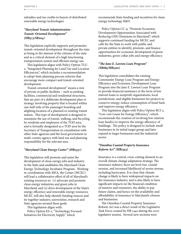subsidies and tax credits to buyers of distributed renewable energy technologies.

## *"Maryland Transit Administration – Transit–Oriented Development" (HB373/SB204)*

This legislation explicitly supports and promotes transit–oriented development throughout the state as being in the interest of the citizens of the state and as a critical element of a high functioning transportation system and efficient energy use.

This legislation aligns with Policy Option TLU-2, "Integrated Planning for Land Use and Location Efficiencies", which includes a recommendation to adopt State planning process reforms that encourage more compact and transit-oriented development.

Transit-oriented development" means a mix of private or public facilities – such as parking facilities, commercial and residential structures, that are part of a deliberate development plan or strategy involving property that is located within one-half mile of the passenger boarding and alighting location of a planned or existing transit station. This type of development is designed to maximize the use of transit, walking, and bicycling by residents and employees of the TOD area, and is formally designated as a TOD area by the Secretary of Transportation in consultation with other State agencies and the local government or multi-county-agency with land use and planning responsibility for the relevant area.

#### *"Maryland Clean Energy Center" (HB1337)*

This legislation will promote and assist the development of clean energy jobs and industry in the State and establishes the Maryland Clean Energy Technology Incubator Program. Working in coordination with MEA, the Center (MCEC) will lead a collaborative effort of all of Maryland's existing resources to: (1) advocate and promote clean energy industries and green jobs in Maryland; and (2) drive development of the State's energy efficiency and renewable energy resources. MCEC will also help identify funding sources and tie together industry, universities, research and State agencies around these goals.

This legislation aligns with:

Policy Option ES-2, "Technology Focused Initiatives for Electricity Supply" which

recommends State funding and incentives for clean energy technology R&D.

Policy Option CC-9, "Promote Economic Development Opportunities Associated with Reducing GHG Emissions in Maryland", which supports continued funding for MCEC and calls for the State to work with public and private entities to identify, promote, and finance opportunities for economic development of green industries, green collar jobs and energy efficiency.

#### *"The Jane E. Lawton Loan Program" (SB885/HB1301)*

This legislation consolidates the existing Community Energy Loan Program and Energy Efficiency and Economic Development Loan Program into the Jane E. Lawton Loan Program to provide financial assistance in the form of low interest loans to nonprofit organizations, local jurisdictions, and eligible businesses for projects to conserve energy, reduce consumption of fossil fuels and improve energy efficiency.

This legislation aligns with Policy Option RCI-3, "Low-cost Loans for Energy Efficiency", which recommends the creation of revolving low-interest loan fund(s) to improve the energy efficiency of buildings. The policy is designed to include small businesses in its initial target group and later expand to larger businesses and the industrial sector.

## *"Omnibus Coastal Property Insurance Reform Act" (HB1353)*

Insurance is a central, cross-cutting element to an overall climate change adaptation strategy. The insurance industry faces sea level rise, coastal erosion, and increased likelihood of severe storms, including hurricanes. It is clear that climate change is likely to have widespread impacts on the insurance industry, and is also likely to have significant impacts on the financial condition of insurers and reinsurers, the ability to pay future claims, and hence on the availability and affordability of insurance to Maryland's citizens and businesses.

The Omnibus Coastal Property Insurance Reform Act was a direct result of the Legislative Task Force created by HB 1442 during the 2007 legislative session. Several new sections were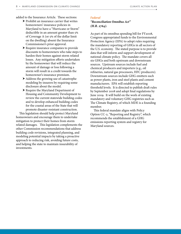added to the Insurance Article. These sections:

- $\triangleright$  Prohibit an insurance carrier that writes homeowners' insurance policies in Maryland to have a "Hurricane or Storm" deductible in an amount greater than 5% of Coverage A (or 5% of the dollar limit on the dwelling) absent the Insurance Commissioner's prior approval.
- $\blacktriangleright$  Require insurance companies to provide discounts to homeowners who take steps to harden their homes against storm related losses. Any mitigation efforts undertaken by the homeowner that will reduce the amount of damage or loss following a storm will result in a credit towards the homeowner's insurance premium.
- $\blacktriangleright$  Address the growing use of catastrophe modeling by insurers by requiring some disclosure about the model.
- $\blacktriangleright$  Require the Maryland Department of Housing and Community Development to review the current statewide building codes and to develop enhanced building codes for the coastal areas of the State that will promote disaster-resistant construction.

This legislation should help protect Maryland homeowners and encourage them to undertake mitigation to protect their homes from storm related damages. This legislation complements the other Commission recommendations that address building code revisions, integrated planning, and modeling potential impacts by taking a proactive approach to reducing risk, avoiding future costs, and helping the state to maintain insurability of investments.

#### *Federal*

## *"Reconciliation Omnibus Act" (H.R. 2764).*

As part of its omnibus spending bill for FY2008, Congress appropriated funds to the Environmental Protection Agency (EPA) to adopt rules requiring the mandatory reporting of GHGs in all sectors of the U.S. economy. The stated purpose is to provide data that will inform and support development of national climate policy. The mandate covers all six GHGs and both upstream and downstream sources. Upstream sources include fuel and chemical producers and importers (e.g., oil refineries, natural gas processors, HFC producers). Downstream sources include GHG emitters such as power plants, iron and steel plants and cement manufacturers. EPA will establish reporting threshold levels. It is directed to publish draft rules by September 2008 and adopt final regulations by June 2009. It will build on the work of existing mandatory and voluntary GHG registries such as The Climate Registry, of which MDE is a founding member.

This federal mandate aligns with Policy Option CC-2, "Reporting and Registry", which recommends the establishment of a GHG emissions reporting system and registry for Maryland sources.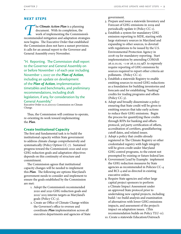## *Next Steps*

**The Climate Action Plan** is a planning document. With its completion, the work of implementing the Commission's recommended mitigation and adaptation strategies document. With its completion, the work of implementing the Commission's now begins. The Executive Order that established the Commission does not have a sunset provision; it calls for an annual report to the Governor and General Assembly every November.

"H. Reporting. The Commission shall report to the Governor and General Assembly on or before November 1 of each year including November 1, 2007 on the *Plan of Action*, including an update on development of the *Plan of Action*, implementation timetables and benchmarks, and preliminary recommendations, including draft legislation, if any, for consideration by the General Assembly."

Executive Order 01.01.2007.07, Commission on Climate Change.

Thus, the Commission will continue to operate, re-orienting its work toward implementing the *Plan*.

## **Create Institutional Capacity**

The first and fundamental task is to build the institutional capacity within State government to address climate change comprehensively and systematically (Policy Option CC-7). Sustained progress toward the Commission's 2020 and 2050 GHG reduction goals and adaptation objectives depends on this continuity of structure and commitment.

The Commission agrees that institutional capacity changes will be needed to implement this *Plan*. The following are options Maryland's government needs to consider and implement to ensure the goals established by the Commission are met:

- 1. Adopt the Commission's recommended 2020 and 2050 GHG reduction goals and 2012/ 2015 interim targets as Maryland's goals (Policy CC-3).
- 2. Create an Office of Climate Change within the Governor's office to oversee and coordinate *Plan* implementation across all executive departments and agencies of State

government.

- 3. Prepare and issue a statewide Inventory and Forecast of GHG emissions in 2009 and periodically update it (Policy CC-1).
- 4. Establish a system for mandatory GHG emission reporting to MDE, starting with large stationary sources in Maryland and expanding to other sources, to dovetail with regulations to be issued by the U.S. Environmental Protection Agency in 2008-09 for mandatory reporting. Start implementation by amending COMAR 26.11.01.05. –1 or 26.11.02.19D. to expressly require reporting of GHG emissions by sources required to report other criteria air pollutants. (Policy CC-2).
- 5. Establish a statewide Registry to enable emitting sources to record GHG reductions as a foundation for building inventories and forecasts and for establishing "banking" credits for trading programs and offsets (Policy CC-3).
- 6. Adopt and broadly disseminate a policy ensuring that State credit will be given to emitting sources that take early actions to reduce their GHG emissions. Begin the process for quantifying these credits through RFPs for banking and offsets protocol, 3rd party certification of offsets, accreditation of certifiers, grandfathering cutoff dates, and related issues.
- 7. Adopt a policy that credits already registered in The Climate Registry or other credentialed registry with high integrity will be given credit under Maryland GHG control programs, to the extent not preempted by existing or future federal law.
- 8. Government Lead by Example: implement the GHG reduction measures by State agencies as recommended in Policies CC-4 and RCI-4 and as directed in existing executive orders.
- 9. Require State agencies and other large capital project sponsors to perform a Climate Impact Assessment under an approved State protocol prior to undertaking new capital projects, including build / no-build analysis and examination of alternatives with lower GHG emissions impacts, and assessment of the project's impact on adaptation issues. (This recommendation builds on Policy TLU-11).
- 10. Create a statewide Education/Outreach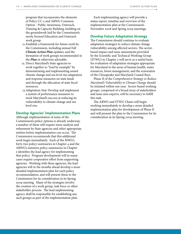program that incorporates the elements of Policy CC-5 and ARWG Common Option - Public Awareness, Outreach, Training & Capacity Building, building on the groundwork laid by the Commission's newly formed Education and Outreach work group.

- 11.Establish a framework for future work by the Commission, including annual Fall *Climate Action Plan* updates, and the formation of work groups recommended in the *Plan* or otherwise advisable.
- 12. Direct Maryland's State agencies to work together to "lead by example" by demonstrating and implementing sound climate change and sea level rise adaptation and response measures on state lands and through the allocation of state fiscal resources.
- 13.Adaptation-Stat: Develop and implement a system of performance measures to track Maryland's success at reducing its vulnerability to climate change and sea level rise.

#### **Develop Agencies' Implementation Plans**

Although implementation of some of the Commission's policy options is already underway, a number of them will require more analysis and refinement by State agencies and other appropriate entities before implementation can occur. The Commission recommends that this additional work begin immediately. Each of the MWG's forty-two policy summaries in Chapter 4 and the ARWG's nineteen policy summaries in Chapter 5 identifies the lead agency for implementing that policy. Program development will in many cases require cooperative effort from supporting agencies. Working with these agencies, the lead agencies will in the months ahead develop a more detailed implementation plan for each policy recommendation, and will present them to the Commission for its consideration in its Spring 2009 meeting. Many of the strategies involve the creation of a work group, task force or other stakeholder process. The lead implementing agency shall be responsible for establishing any such groups as part of the implementation plan.

Each implementing agency will provide a status report, timeline and overview of the implementation plan at the Commission's November 2008 and Spring 2009 meetings.

## **Develop Future Adaptation Strategy**

The Commission should continue to evaluate adaptation strategies to reduce climate change vulnerability among affected sectors. The sectorbased impact and issue assessments provided by the Scientific and Technical Working Group (STWG) in Chapter 2 will serve as a useful basis for evaluation of adaptation strategies appropriate for Maryland in the areas of human health, water resources, forest management, and the restoration of the Chesapeake and Maryland Coastal Bays.

Phase II of the *Comprehensive Strategy to Reduce Maryland's Vulnerability to Climate Change* should be initiated within one year. Sector-based working groups, comprised of a broad array of stakeholders and issue area experts, will be necessary to fulfill this task.

The ARWG and STWG Chairs will begin working immediately to develop a more detailed implementation plan for development of Phase II and will present the plan to the Commission for its consideration in its Spring 2009 meeting.